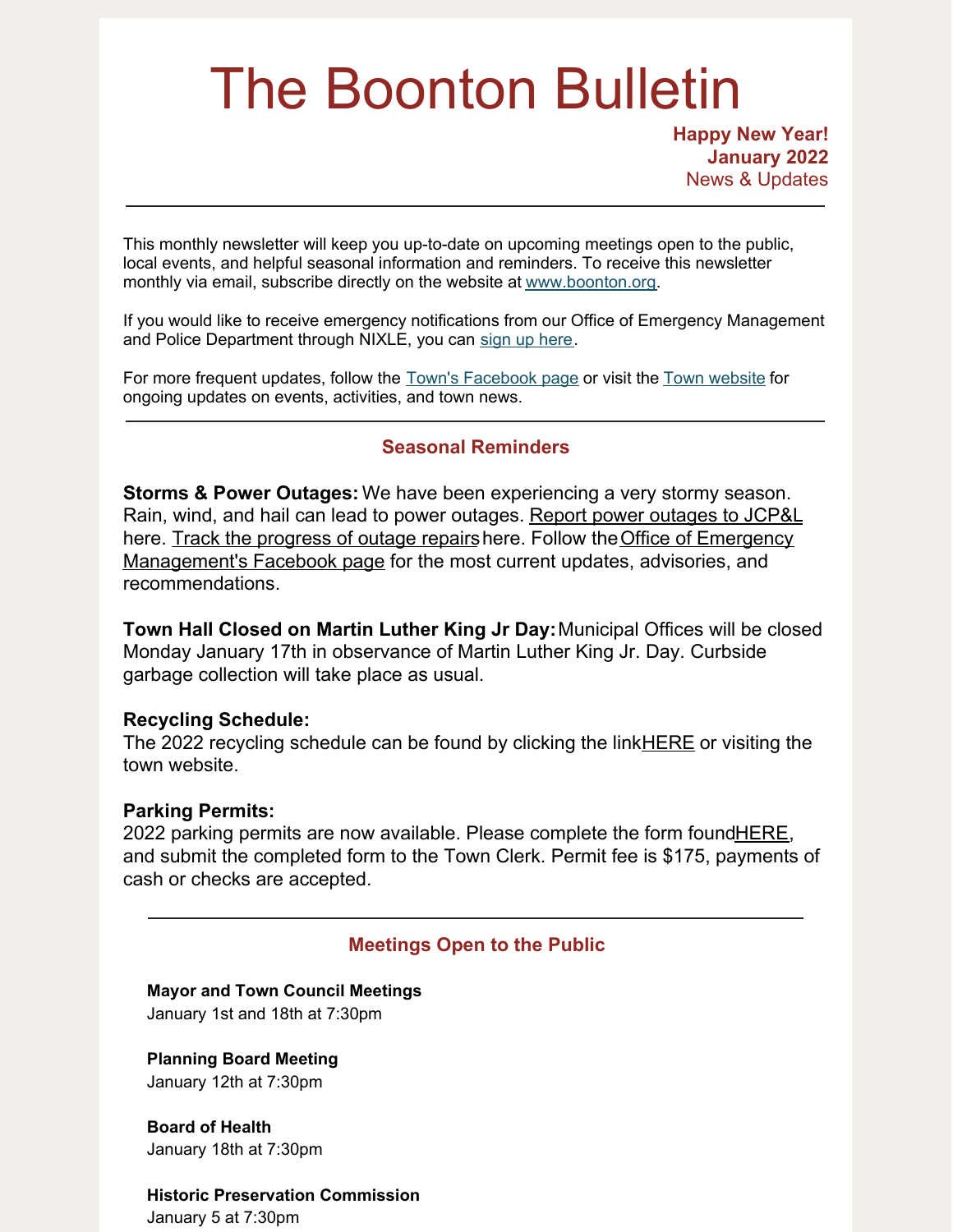# The Boonton Bulletin

**Happy New Year! January 2022** News & Updates

This monthly newsletter will keep you up-to-date on upcoming meetings open to the public, local events, and helpful seasonal information and reminders. To receive this newsletter monthly via email, subscribe directly on the website at [www.boonton.org](http://www.boonton.org).

If you would like to receive emergency notifications from our Office of Emergency Management and Police Department through NIXLE, you can sign up [here](https://www.boonton.org/347/Sign-up-for-Notifications).

For more frequent updates, follow the Town's [Facebook](https://www.facebook.com/BoontonNJ) page or visit the Town [website](https://www.boonton.org/) for ongoing updates on events, activities, and town news.

# **Seasonal Reminders**

**Storms & Power Outages:** We have been experiencing a very stormy season. Rain, wind, and hail can lead to power outages. Report power [outages](https://www.firstenergycorp.com/outages_help/Report_Power_Outages.html) to JCP&L here. Track the [progress](https://www.firstenergycorp.com/outages_help/current_outages_maps.html) of outage repairs here. Follow the Office of Emergency [Management's](https://www.facebook.com/Town-of-Boonton-OEM-102677125319113) Facebook page for the most current updates, advisories, and recommendations.

**Town Hall Closed on Martin Luther King Jr Day:**Municipal Offices will be closed Monday January 17th in observance of Martin Luther King Jr. Day. Curbside garbage collection will take place as usual.

## **Recycling Schedule:**

The 2022 recycling schedule can be found by clicking the link**HERE** or visiting the town website.

## **Parking Permits:**

2022 parking permits are now available. Please complete the form found HERE, and submit the completed form to the Town Clerk. Permit fee is \$175, payments of cash or checks are accepted.

# **Meetings Open to the Public**

**Mayor and Town Council Meetings** January 1st and 18th at 7:30pm

**Planning Board Meeting** January 12th at 7:30pm

**Board of Health** January 18th at 7:30pm

**Historic Preservation Commission** January 5 at 7:30pm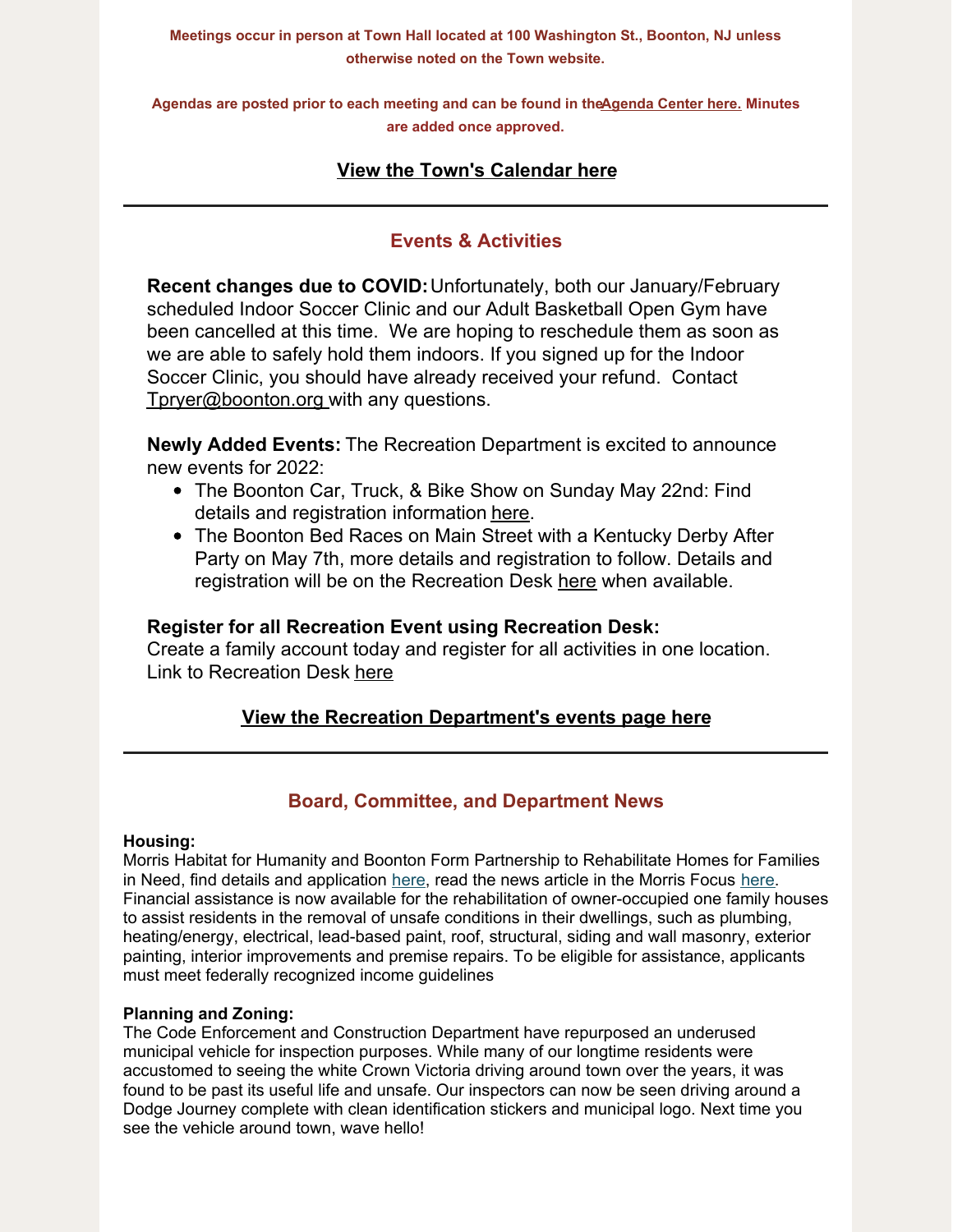**Meetings occur in person at Town Hall located at 100 Washington St., Boonton, NJ unless otherwise noted on the Town website.**

**Agendas are posted prior to each meeting and can be found in th[eAgenda](https://www.boonton.org/AgendaCenter) Center here. Minutes are added once approved.**

# **View the Town's [Calendar](https://www.boonton.org/calendar.aspx) here**

# **Events & Activities**

**Recent changes due to COVID:**Unfortunately, both our January/February scheduled Indoor Soccer Clinic and our Adult Basketball Open Gym have been cancelled at this time. We are hoping to reschedule them as soon as we are able to safely hold them indoors. If you signed up for the Indoor Soccer Clinic, you should have already received your refund. Contact [Tpryer@boonton.org](mailto:Tpryer@boonton.org) with any questions.

**Newly Added Events:** The Recreation Department is excited to announce new events for 2022:

- The Boonton Car, Truck, & Bike Show on Sunday May 22nd: Find details and registration information [here](https://www.boonton.org/DocumentCenter/View/3917/Boonton-Car-Show).
- The Boonton Bed Races on Main Street with a Kentucky Derby After Party on May 7th, more details and registration to follow. Details and registration will be on the Recreation Desk [here](https://boonton.recdesk.com/Community/Home) when available.

## **Register for all Recreation Event using Recreation Desk:**

Create a family account today and register for all activities in one location. Link to Recreation Desk [here](https://boonton.recdesk.com/Community/Home)

## **View the Recreation [Department's](https://www.boonton.org/446/Special-Events) events page here**

## **Board, Committee, and Department News**

#### **Housing:**

Morris Habitat for Humanity and Boonton Form Partnership to Rehabilitate Homes for Families in Need, find details and application [here](https://morrisfocus.com/2021/11/28/morris-habitat-for-humanity-and-the-town-of-boonton-form-partnership-to-rehabilitate-homes-for-families-in-need/), read the news article in the Morris Focus here. Financial assistance is now available for the rehabilitation of owner-occupied one family houses to assist residents in the removal of unsafe conditions in their dwellings, such as plumbing, heating/energy, electrical, lead-based paint, roof, structural, siding and wall masonry, exterior painting, interior improvements and premise repairs. To be eligible for assistance, applicants must meet federally recognized income guidelines

#### **Planning and Zoning:**

The Code Enforcement and Construction Department have repurposed an underused municipal vehicle for inspection purposes. While many of our longtime residents were accustomed to seeing the white Crown Victoria driving around town over the years, it was found to be past its useful life and unsafe. Our inspectors can now be seen driving around a Dodge Journey complete with clean identification stickers and municipal logo. Next time you see the vehicle around town, wave hello!